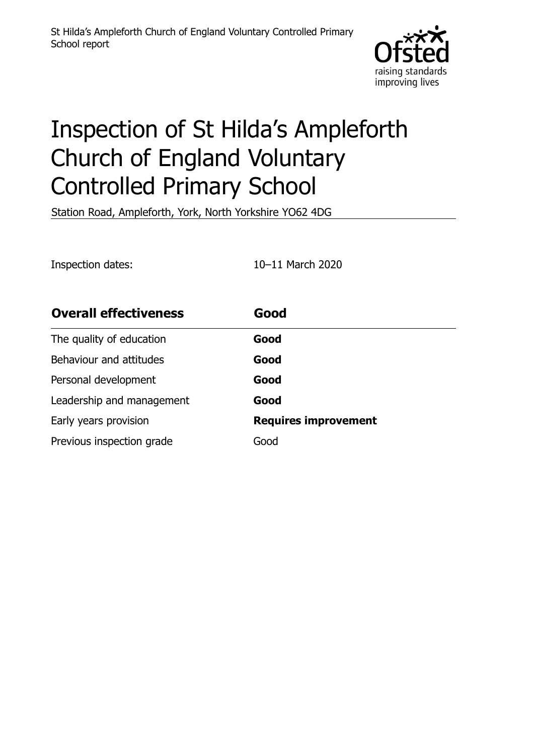

# Inspection of St Hilda's Ampleforth Church of England Voluntary Controlled Primary School

Station Road, Ampleforth, York, North Yorkshire YO62 4DG

Inspection dates: 10–11 March 2020

| <b>Overall effectiveness</b> | Good                        |
|------------------------------|-----------------------------|
| The quality of education     | Good                        |
| Behaviour and attitudes      | Good                        |
| Personal development         | Good                        |
| Leadership and management    | Good                        |
| Early years provision        | <b>Requires improvement</b> |
| Previous inspection grade    | Good                        |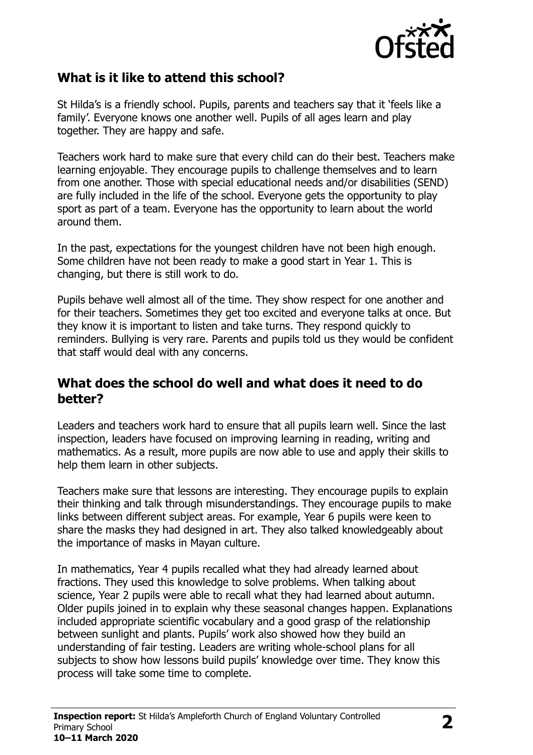

# **What is it like to attend this school?**

St Hilda's is a friendly school. Pupils, parents and teachers say that it 'feels like a family'. Everyone knows one another well. Pupils of all ages learn and play together. They are happy and safe.

Teachers work hard to make sure that every child can do their best. Teachers make learning enjoyable. They encourage pupils to challenge themselves and to learn from one another. Those with special educational needs and/or disabilities (SEND) are fully included in the life of the school. Everyone gets the opportunity to play sport as part of a team. Everyone has the opportunity to learn about the world around them.

In the past, expectations for the youngest children have not been high enough. Some children have not been ready to make a good start in Year 1. This is changing, but there is still work to do.

Pupils behave well almost all of the time. They show respect for one another and for their teachers. Sometimes they get too excited and everyone talks at once. But they know it is important to listen and take turns. They respond quickly to reminders. Bullying is very rare. Parents and pupils told us they would be confident that staff would deal with any concerns.

#### **What does the school do well and what does it need to do better?**

Leaders and teachers work hard to ensure that all pupils learn well. Since the last inspection, leaders have focused on improving learning in reading, writing and mathematics. As a result, more pupils are now able to use and apply their skills to help them learn in other subjects.

Teachers make sure that lessons are interesting. They encourage pupils to explain their thinking and talk through misunderstandings. They encourage pupils to make links between different subject areas. For example, Year 6 pupils were keen to share the masks they had designed in art. They also talked knowledgeably about the importance of masks in Mayan culture.

In mathematics, Year 4 pupils recalled what they had already learned about fractions. They used this knowledge to solve problems. When talking about science, Year 2 pupils were able to recall what they had learned about autumn. Older pupils joined in to explain why these seasonal changes happen. Explanations included appropriate scientific vocabulary and a good grasp of the relationship between sunlight and plants. Pupils' work also showed how they build an understanding of fair testing. Leaders are writing whole-school plans for all subjects to show how lessons build pupils' knowledge over time. They know this process will take some time to complete.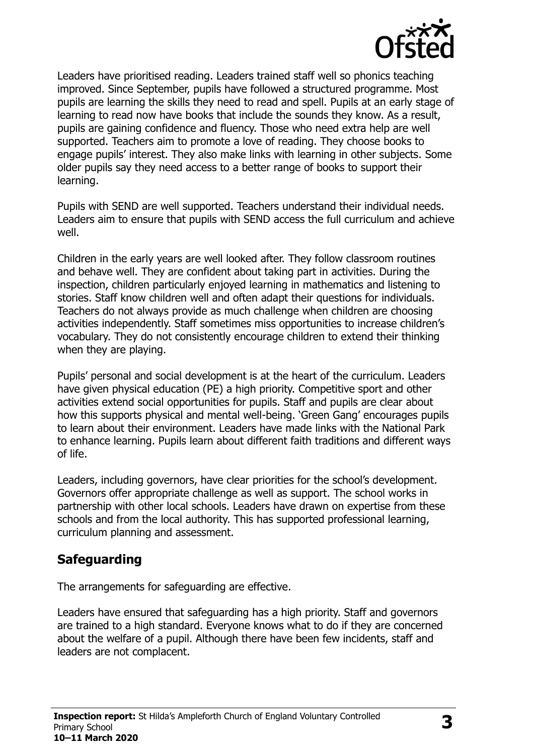

Leaders have prioritised reading. Leaders trained staff well so phonics teaching improved. Since September, pupils have followed a structured programme. Most pupils are learning the skills they need to read and spell. Pupils at an early stage of learning to read now have books that include the sounds they know. As a result, pupils are gaining confidence and fluency. Those who need extra help are well supported. Teachers aim to promote a love of reading. They choose books to engage pupils' interest. They also make links with learning in other subjects. Some older pupils say they need access to a better range of books to support their learning.

Pupils with SEND are well supported. Teachers understand their individual needs. Leaders aim to ensure that pupils with SEND access the full curriculum and achieve well.

Children in the early years are well looked after. They follow classroom routines and behave well. They are confident about taking part in activities. During the inspection, children particularly enjoyed learning in mathematics and listening to stories. Staff know children well and often adapt their questions for individuals. Teachers do not always provide as much challenge when children are choosing activities independently. Staff sometimes miss opportunities to increase children's vocabulary. They do not consistently encourage children to extend their thinking when they are playing.

Pupils' personal and social development is at the heart of the curriculum. Leaders have given physical education (PE) a high priority. Competitive sport and other activities extend social opportunities for pupils. Staff and pupils are clear about how this supports physical and mental well-being. 'Green Gang' encourages pupils to learn about their environment. Leaders have made links with the National Park to enhance learning. Pupils learn about different faith traditions and different ways of life.

Leaders, including governors, have clear priorities for the school's development. Governors offer appropriate challenge as well as support. The school works in partnership with other local schools. Leaders have drawn on expertise from these schools and from the local authority. This has supported professional learning, curriculum planning and assessment.

# **Safeguarding**

The arrangements for safeguarding are effective.

Leaders have ensured that safeguarding has a high priority. Staff and governors are trained to a high standard. Everyone knows what to do if they are concerned about the welfare of a pupil. Although there have been few incidents, staff and leaders are not complacent.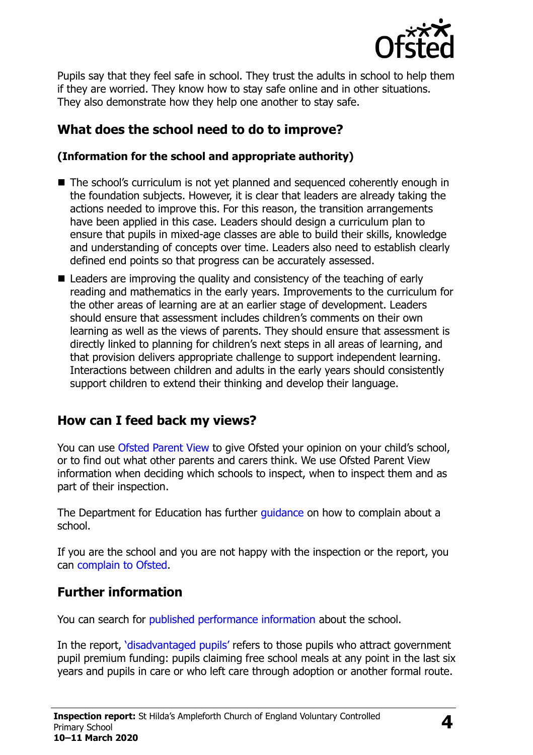

Pupils say that they feel safe in school. They trust the adults in school to help them if they are worried. They know how to stay safe online and in other situations. They also demonstrate how they help one another to stay safe.

# **What does the school need to do to improve?**

#### **(Information for the school and appropriate authority)**

- The school's curriculum is not vet planned and sequenced coherently enough in the foundation subjects. However, it is clear that leaders are already taking the actions needed to improve this. For this reason, the transition arrangements have been applied in this case. Leaders should design a curriculum plan to ensure that pupils in mixed-age classes are able to build their skills, knowledge and understanding of concepts over time. Leaders also need to establish clearly defined end points so that progress can be accurately assessed.
- Leaders are improving the quality and consistency of the teaching of early reading and mathematics in the early years. Improvements to the curriculum for the other areas of learning are at an earlier stage of development. Leaders should ensure that assessment includes children's comments on their own learning as well as the views of parents. They should ensure that assessment is directly linked to planning for children's next steps in all areas of learning, and that provision delivers appropriate challenge to support independent learning. Interactions between children and adults in the early years should consistently support children to extend their thinking and develop their language.

# **How can I feed back my views?**

You can use [Ofsted Parent View](http://parentview.ofsted.gov.uk/) to give Ofsted your opinion on your child's school, or to find out what other parents and carers think. We use Ofsted Parent View information when deciding which schools to inspect, when to inspect them and as part of their inspection.

The Department for Education has further quidance on how to complain about a school.

If you are the school and you are not happy with the inspection or the report, you can [complain to Ofsted.](http://www.gov.uk/complain-ofsted-report)

# **Further information**

You can search for [published performance information](http://www.compare-school-performance.service.gov.uk/) about the school.

In the report, '[disadvantaged pupils](http://www.gov.uk/guidance/pupil-premium-information-for-schools-and-alternative-provision-settings)' refers to those pupils who attract government pupil premium funding: pupils claiming free school meals at any point in the last six years and pupils in care or who left care through adoption or another formal route.

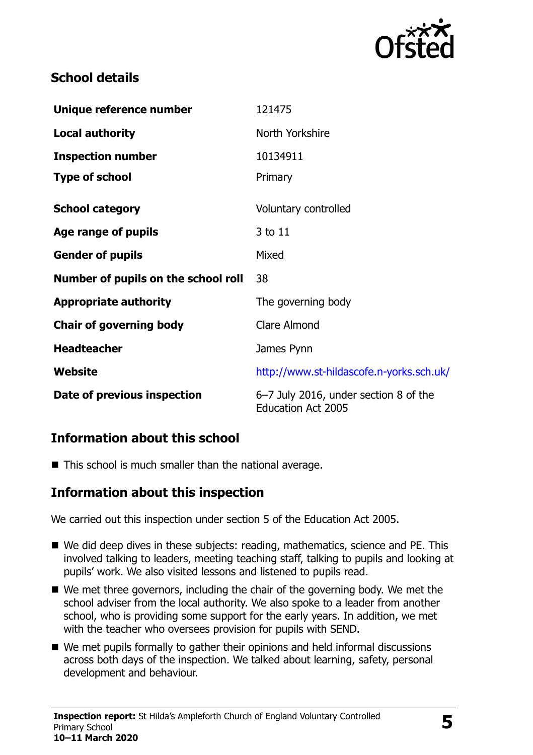

# **School details**

| Unique reference number             | 121475                                                             |
|-------------------------------------|--------------------------------------------------------------------|
| <b>Local authority</b>              | North Yorkshire                                                    |
| <b>Inspection number</b>            | 10134911                                                           |
| <b>Type of school</b>               | Primary                                                            |
| <b>School category</b>              | Voluntary controlled                                               |
| Age range of pupils                 | 3 to 11                                                            |
| <b>Gender of pupils</b>             | Mixed                                                              |
| Number of pupils on the school roll | 38                                                                 |
| <b>Appropriate authority</b>        | The governing body                                                 |
| <b>Chair of governing body</b>      | Clare Almond                                                       |
| <b>Headteacher</b>                  | James Pynn                                                         |
| Website                             | http://www.st-hildascofe.n-yorks.sch.uk/                           |
| Date of previous inspection         | 6-7 July 2016, under section 8 of the<br><b>Education Act 2005</b> |

# **Information about this school**

■ This school is much smaller than the national average.

#### **Information about this inspection**

We carried out this inspection under section 5 of the Education Act 2005.

- We did deep dives in these subjects: reading, mathematics, science and PE. This involved talking to leaders, meeting teaching staff, talking to pupils and looking at pupils' work. We also visited lessons and listened to pupils read.
- We met three governors, including the chair of the governing body. We met the school adviser from the local authority. We also spoke to a leader from another school, who is providing some support for the early years. In addition, we met with the teacher who oversees provision for pupils with SEND.
- We met pupils formally to gather their opinions and held informal discussions across both days of the inspection. We talked about learning, safety, personal development and behaviour.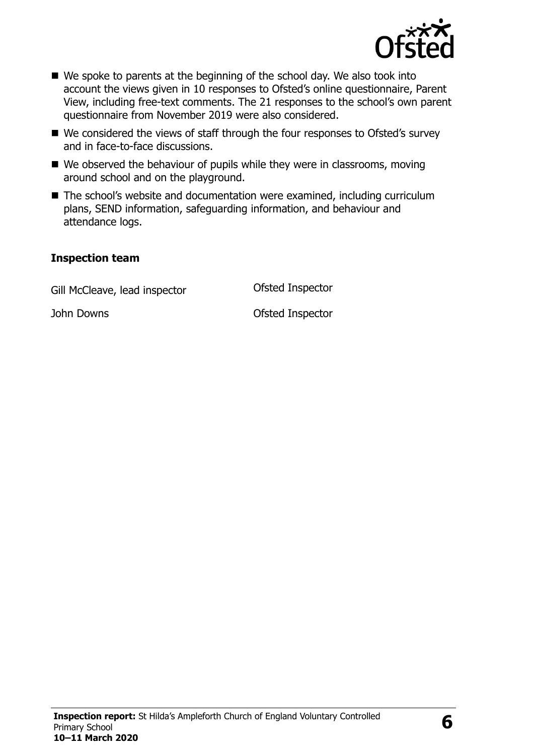

- We spoke to parents at the beginning of the school day. We also took into account the views given in 10 responses to Ofsted's online questionnaire, Parent View, including free-text comments. The 21 responses to the school's own parent questionnaire from November 2019 were also considered.
- We considered the views of staff through the four responses to Ofsted's survey and in face-to-face discussions.
- We observed the behaviour of pupils while they were in classrooms, moving around school and on the playground.
- The school's website and documentation were examined, including curriculum plans, SEND information, safeguarding information, and behaviour and attendance logs.

#### **Inspection team**

Gill McCleave, lead inspector **Canadia** Ofsted Inspector

John Downs Ofsted Inspector